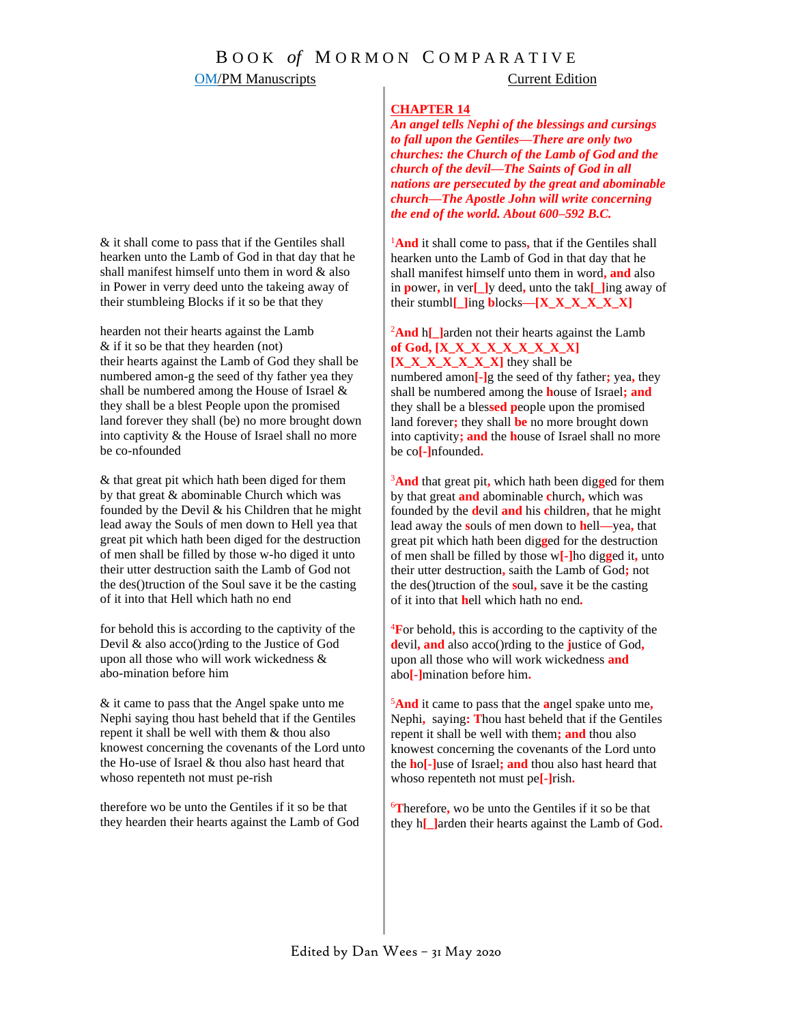### **OM/PM Manuscripts** Current Edition

### **CHAPTER 14**

*An angel tells Nephi of the blessings and cursings to fall upon the Gentiles—There are only two churches: the Church of the Lamb of God and the church of the devil—The Saints of God in all nations are persecuted by the great and abominable church—The Apostle John will write concerning the end of the world. About 600–592 B.C.*

<sup>1</sup>And it shall come to pass, that if the Gentiles shall hearken unto the Lamb of God in that day that he shall manifest himself unto them in word**, and** also in **p**ower**,** in ver**[\_]**y deed**,** unto the tak**[\_]**ing away of their stumbl**[\_]**ing **b**locks**—[X\_X\_X\_X\_X\_X]**

<sup>2</sup>And h[Larden not their hearts against the Lamb **of God, [X\_X\_X\_X\_X\_X\_X\_X\_X] [X\_X\_X\_X\_X\_X\_X]** they shall be

numbered amon**[-]**g the seed of thy father**;** yea**,** they shall be numbered among the **h**ouse of Israel**; and** they shall be a bles**sed p**eople upon the promised land forever**;** they shall **be** no more brought down into captivity**; and** the **h**ouse of Israel shall no more be co**[-]**nfounded**.**

<sup>3</sup>**And** that great pit**,** which hath been dig**g**ed for them by that great **and** abominable **c**hurch**,** which was founded by the **d**evil **and** his **c**hildren**,** that he might lead away the **s**ouls of men down to **h**ell**—**yea**,** that great pit which hath been dig**g**ed for the destruction of men shall be filled by those w**[-]**ho dig**g**ed it**,** unto their utter destruction**,** saith the Lamb of God**;** not the des()truction of the **s**oul**,** save it be the casting of it into that **h**ell which hath no end**.**

<sup>4</sup>**F**or behold**,** this is according to the captivity of the **d**evil**, and** also acco()rding to the **j**ustice of God**,**  upon all those who will work wickedness **and** abo**[-]**mination before him**.**

<sup>5</sup>**And** it came to pass that the **a**ngel spake unto me**,**  Nephi**,** saying**: T**hou hast beheld that if the Gentiles repent it shall be well with them**; and** thou also knowest concerning the covenants of the Lord unto the **h**o**[-]**use of Israel**; and** thou also hast heard that whoso repenteth not must pe**[-]**rish**.**

<sup>6</sup>**T**herefore**,** wo be unto the Gentiles if it so be that they h**[\_]**arden their hearts against the Lamb of God**.**

& it shall come to pass that if the Gentiles shall hearken unto the Lamb of God in that day that he shall manifest himself unto them in word & also in Power in verry deed unto the takeing away of their stumbleing Blocks if it so be that they

hearden not their hearts against the Lamb & if it so be that they hearden (not) their hearts against the Lamb of God they shall be numbered amon-g the seed of thy father yea they shall be numbered among the House of Israel & they shall be a blest People upon the promised land forever they shall (be) no more brought down into captivity & the House of Israel shall no more be co-nfounded

& that great pit which hath been diged for them by that great & abominable Church which was founded by the Devil & his Children that he might lead away the Souls of men down to Hell yea that great pit which hath been diged for the destruction of men shall be filled by those w-ho diged it unto their utter destruction saith the Lamb of God not the des()truction of the Soul save it be the casting of it into that Hell which hath no end

for behold this is according to the captivity of the Devil & also acco()rding to the Justice of God upon all those who will work wickedness & abo-mination before him

& it came to pass that the Angel spake unto me Nephi saying thou hast beheld that if the Gentiles repent it shall be well with them & thou also knowest concerning the covenants of the Lord unto the Ho-use of Israel & thou also hast heard that whoso repenteth not must pe-rish

therefore wo be unto the Gentiles if it so be that they hearden their hearts against the Lamb of God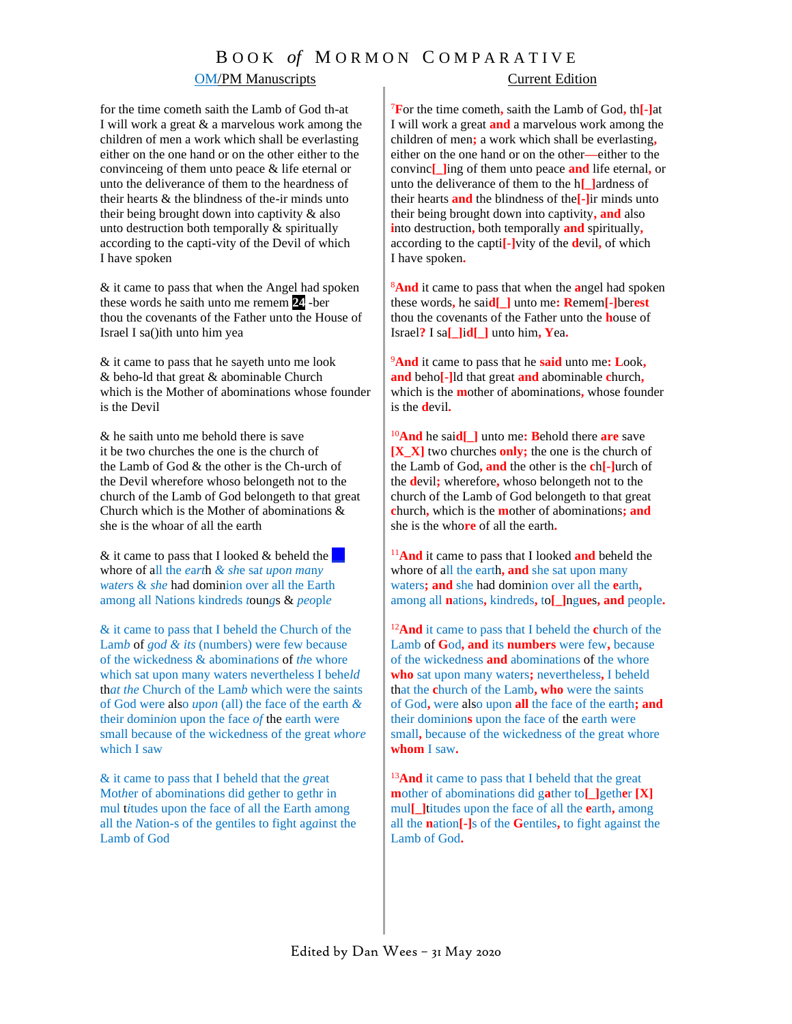### **OM/PM Manuscripts** Current Edition

for the time cometh saith the Lamb of God th-at I will work a great & a marvelous work among the children of men a work which shall be everlasting either on the one hand or on the other either to the convinceing of them unto peace & life eternal or unto the deliverance of them to the heardness of their hearts & the blindness of the-ir minds unto their being brought down into captivity & also unto destruction both temporally & spiritually according to the capti-vity of the Devil of which I have sp*o*ken

& it came to pass that when the Angel had spoken these words he saith unto me remem **24** -ber thou the covenants of the Father unto the House of Israel I sa()ith unto him yea

& it came to pass that he sayeth unto me look & beho-ld that great & abominable Church which is the Mother of abominations whose founder is the Devil

& he saith unto me behold there is save it be two churches the one is the church of the Lamb of God & the other is the Ch-urch of the Devil wherefore whoso belongeth not to the church of the Lamb of God belongeth to that great Church which is the Mother of abominations & she is the whoar of all the earth

& it came to pass that I looked & beheld the **\_\_** whore of all the *e*a*rt*h *& sh*e sa*t up*o*n ma*n*y w*a*ter*s & *she* had dominion over all the Earth among all Nations kindreds *t*oun*g*s & *peo*pl*e*

& it came to pass that I beheld the Church of the Lam*b* of *g*o*d & its* (numbers) were few because of the wickedness & abomina*t*ion*s* of *th*e whore which sat upon many waters nevertheless I behe*ld* th*at the* Chu*r*ch of the Lam*b* which were the saints of God were also *u*p*on* (all) the face of the earth *&* their d*o*min*i*on upon the face *of* the earth were small because of the wickedness of the great *w*ho*re* which I saw

& it came to pass that I beheld that the *gr*eat Mot*h*er of abominations did gether to gethr in mul t*i*tudes upon the face of all the Earth among all the *N*ation-s of the gentiles to fight ag*a*inst the Lamb of God

<sup>7</sup>**F**or the time cometh**,** saith the Lamb of God**,** th**[-]**at I will work a great **and** a marvelous work among the children of men**;** a work which shall be everlasting**,**  either on the one hand or on the other**—**either to the convinc**[\_]**ing of them unto peace **and** life eternal**,** or unto the deliverance of them to the h**[\_]**ardness of their hearts **and** the blindness of the**[-]**ir minds unto their being brought down into captivity**, and** also **i**nto destruction**,** both temporally **and** spiritually**,** according to the capti**[-]**vity of the **d**evil**,** of which I have spoken**.**

<sup>8</sup>**And** it came to pass that when the **a**ngel had spoken these words**,** he sai**d[\_]** unto me**: R**emem**[-]**ber**est** thou the covenants of the Father unto the **h**ouse of Israel**?** I sa**[\_]**i**d[\_]** unto him**, Y**ea**.**

<sup>9</sup>**And** it came to pass that he **said** unto me**: L**ook**, and** beho**[-]**ld that great **and** abominable **c**hurch**,** which is the **m**other of abominations**,** whose founder is the **d**evil**.**

<sup>10</sup>**And** he sai**d[\_]** unto me**: B**ehold there **are** save **[X\_X]** two churches **only;** the one is the church of the Lamb of God**, and** the other is the **c**h**[-]**urch of the **d**evil**;** wherefore**,** whoso belongeth not to the church of the Lamb of God belongeth to that great **c**hurch**,** which is the **m**other of abominations**; and** she is the who**re** of all the earth**.**

<sup>11</sup>**And** it came to pass that I looked **and** beheld the whore of all the earth**, and** she sat upon many waters**; and** she had dominion over all the **e**arth**,**  among all **n**ations**,** kindreds**,** to**[\_]**ng**ue**s**, and** people**.**

<sup>12</sup>**And** it came to pass that I beheld the **c**hurch of the Lamb of **G**od**, and** its **numbers** were few**,** because of the wickedness **and** abominations of the whore **who** sat upon many waters**;** nevertheless**,** I beheld that the **c**hurch of the Lamb**, who** were the saints of God**,** were also upon **all** the face of the earth**; and** their dominion**s** upon the face of the earth were small**,** because of the wickedness of the great whore **whom** I saw**.**

<sup>13</sup>And it came to pass that I beheld that the great **m**other of abominations did g**a**ther to**[\_]**geth**e**r **[X]** mul**[\_]**titudes upon the face of all the **e**arth**,** among all the **n**ation**[-]**s of the **G**entiles**,** to fight against the Lamb of God**.**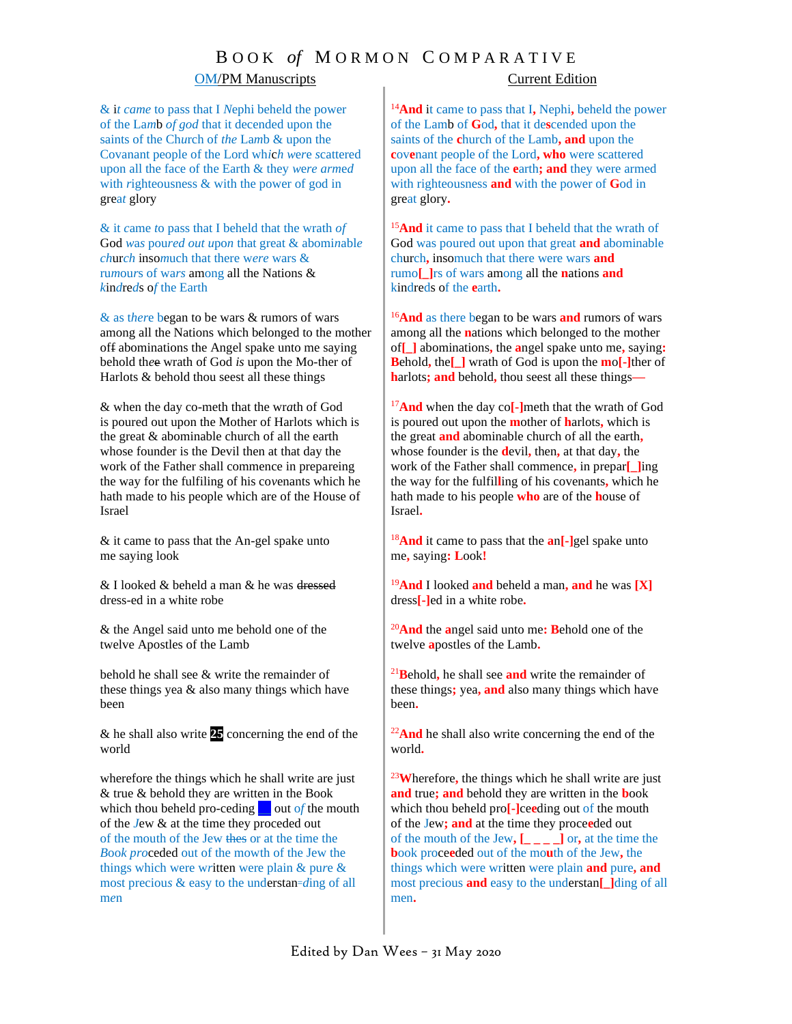## B O O K *of* M O R M O N C O M P A R A T I V E

### OM/PM Manuscripts Current Edition

& i*t came* to pass that I *N*ephi beheld the power of the La*m*b *of god* that it decended upon the saints of the Ch*u*rch of *the* La*m*b & upon the Covanant people of the Lord wh*i*c*h w*e*r*e *s*cattered upon all the face of the Earth & they *w*e*re arm*e*d* with *r*ighteousness & with the power of god in grea*t* glory

& it *c*ame *t*o pass that I beheld that the wrath *of* God *w*a*s* pou*red out u*po*n* that great & abomi*n*abl*e ch*ur*ch* inso*m*uch that there w*ere* wars & ru*m*ou*r*s of wa*rs* among all the Nations & *k*in*d*re*d*s o*f* the Earth

& as t*her*e began to be wars & rumors of wars among all the Nations which belonged to the mother off abominations the Angel spake unto me saying behold th*e*e wrath of God *is* upon the Mo-ther of Harlots & behold thou seest all these things

& when the day co-meth that the wr*a*th of God is poured out upon the Mother of Harlots which is the great & abominable church of all the earth whose founder is the Devil then at that day the work of the Father shall commence in prepareing the way for the fulfiling of his co*v*enants which he hath made to his people which are of the House of Israel

& it came to pass that the An-gel spake unto me saying look

& I looked & beheld a man & he was dressed dress-ed in a white robe

& the Angel said unto me behold one of the twelve Apostles of the Lamb

behold he shall see & write the remainder of these things yea & also many things which have been

& he shall also write **25** concerning the end of the world

wherefore the things which he shall write are just & true & behold they are written in the Book which thou beheld pro-ceding **\_\_** out o*f* the mouth of the *J*ew & at the time they proceded out of the mouth of the Jew thes or at the time the *B*oo*k pro*ceded out of the mowth of the Jew the things which were w*r*itten were plain & pu*r*e & most precious & easy to the understan=*ding* of all m*e*n

<sup>14</sup>**And** it came to pass that I**,** Nephi**,** beheld the power of the Lamb of **G**od**,** that it de**s**cended upon the saints of the **c**hurch of the Lamb**, and** upon the **c**ovenant people of the Lord, who were scattered upon all the face of the **e**arth**; and** they were armed with righteousness **and** with the power of **G**od in great glory**.**

<sup>15</sup>**And** it came to pass that I beheld that the wrath of God was poured out upon that great **and** abominable church**,** insomuch that there were wars **and** rumo**[\_]**rs of wars among all the **n**ations **and** kindreds of the **e**arth**.**

<sup>16</sup>**And** as there began to be wars **and** rumors of wars among all the **n**ations which belonged to the mother of**[\_]** abominations**,** the **a**ngel spake unto me**,** saying**: B**ehold**,** the**[\_]** wrath of God is upon the **m**o**[-]**ther of **h**arlots**; and** behold**,** thou seest all these things**—**

<sup>17</sup>**And** when the day co**[-]**meth that the wrath of God is poured out upon the **m**other of **h**arlots**,** which is the great **and** abominable church of all the earth**,**  whose founder is the **d**evil**,** then**,** at that day**,** the work of the Father shall commence**,** in prepar**[\_]**ing the way for the fulfil**l**ing of his covenants**,** which he hath made to his people **who** are of the **h**ouse of Israel**.**

<sup>18</sup>**And** it came to pass that the **a**n**[-]**gel spake unto me**,** saying**: L**ook**!**

<sup>19</sup>**And** I looked **and** beheld a man**, and** he was **[X]**  dress**[-]**ed in a white robe**.**

<sup>20</sup>**And** the **a**ngel said unto me**: B**ehold one of the twelve **a**postles of the Lamb**.**

<sup>21</sup>**B**ehold**,** he shall see **and** write the remainder of these things**;** yea**, and** also many things which have been**.**

<sup>22</sup>And he shall also write concerning the end of the world**.**

<sup>23</sup>**W**herefore**,** the things which he shall write are just **and** true**; and** behold they are written in the **b**ook which thou beheld pro**[-]**ce**e**ding out of the mouth of the Jew**; and** at the time they proce**e**ded out of the mouth of the Jew,  $\begin{bmatrix} 1 & 1 \\ -1 & -1 \end{bmatrix}$  or, at the time the **b**ook proce**e**ded out of the mo**u**th of the Jew**,** the things which were written were plain **and** pure**, and** most precious **and** easy to the understan**[\_]**ding of all men**.**